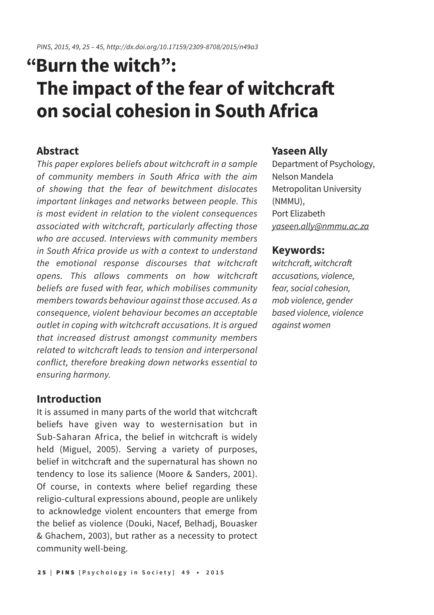# **"Burn the witch": The impact of the fear of witchcraft on social cohesion in South Africa**

## **Abstract**

*This paper explores beliefs about witchcraft in a sample of community members in South Africa with the aim of showing that the fear of bewitchment dislocates important linkages and networks between people. This is most evident in relation to the violent consequences associated with witchcraft, particularly affecting those who are accused. Interviews with community members in South Africa provide us with a context to understand the emotional response discourses that witchcraft opens. This allows comments on how witchcraft beliefs are fused with fear, which mobilises community members towards behaviour against those accused. As a consequence, violent behaviour becomes an acceptable outlet in coping with witchcraft accusations. It is argued that increased distrust amongst community members related to witchcraft leads to tension and interpersonal conflict, therefore breaking down networks essential to ensuring harmony.*

### **Introduction**

It is assumed in many parts of the world that witchcraft beliefs have given way to westernisation but in Sub-Saharan Africa, the belief in witchcraft is widely held (Miguel, 2005). Serving a variety of purposes, belief in witchcraft and the supernatural has shown no tendency to lose its salience (Moore & Sanders, 2001). Of course, in contexts where belief regarding these religio-cultural expressions abound, people are unlikely to acknowledge violent encounters that emerge from the belief as violence (Douki, Nacef, Belhadj, Bouasker & Ghachem, 2003), but rather as a necessity to protect community well-being.

## **Yaseen Ally**

Department of Psychology, Nelson Mandela Metropolitan University (NMMU), Port Elizabeth *yaseen.ally@nmmu.ac.za*

## **Keywords:**

witchcraft, witchcraft *accusations, violence, fear, social cohesion, mob violence, gender based violence, violence against women*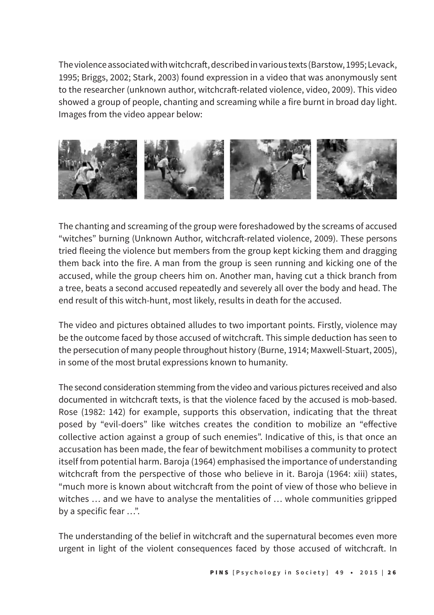The violence associated with witchcraft, described in various texts (Barstow, 1995; Levack, 1995; Briggs, 2002; Stark, 2003) found expression in a video that was anonymously sent to the researcher (unknown author, witchcraft-related violence, video, 2009). This video showed a group of people, chanting and screaming while a fire burnt in broad day light. Images from the video appear below:



The chanting and screaming of the group were foreshadowed by the screams of accused "witches" burning (Unknown Author, witchcraft-related violence, 2009). These persons tried fleeing the violence but members from the group kept kicking them and dragging them back into the fire. A man from the group is seen running and kicking one of the accused, while the group cheers him on. Another man, having cut a thick branch from a tree, beats a second accused repeatedly and severely all over the body and head. The end result of this witch-hunt, most likely, results in death for the accused.

The video and pictures obtained alludes to two important points. Firstly, violence may be the outcome faced by those accused of witchcraft. This simple deduction has seen to the persecution of many people throughout history (Burne, 1914; Maxwell-Stuart, 2005), in some of the most brutal expressions known to humanity.

The second consideration stemming from the video and various pictures received and also documented in witchcraft texts, is that the violence faced by the accused is mob-based. Rose (1982: 142) for example, supports this observation, indicating that the threat posed by "evil-doers" like witches creates the condition to mobilize an "effective collective action against a group of such enemies". Indicative of this, is that once an accusation has been made, the fear of bewitchment mobilises a community to protect itself from potential harm. Baroja (1964) emphasised the importance of understanding witchcraft from the perspective of those who believe in it. Baroja (1964: xiii) states, "much more is known about witchcraft from the point of view of those who believe in witches … and we have to analyse the mentalities of … whole communities gripped by a specific fear …".

The understanding of the belief in witchcraft and the supernatural becomes even more urgent in light of the violent consequences faced by those accused of witchcraft. In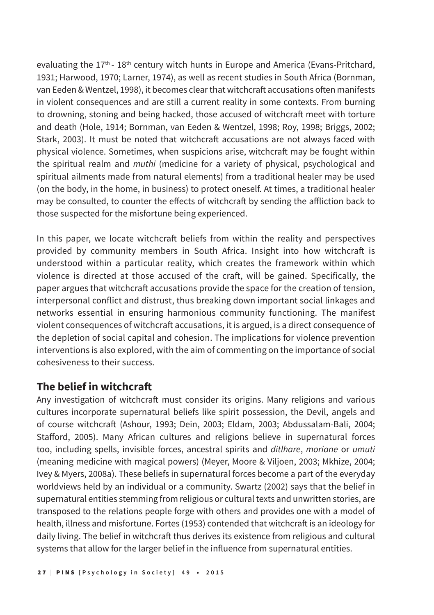evaluating the  $17<sup>th</sup>$  -  $18<sup>th</sup>$  century witch hunts in Europe and America (Evans-Pritchard, 1931; Harwood, 1970; Larner, 1974), as well as recent studies in South Africa (Bornman, van Eeden & Wentzel, 1998), it becomes clear that witchcraft accusations often manifests in violent consequences and are still a current reality in some contexts. From burning to drowning, stoning and being hacked, those accused of witchcraft meet with torture and death (Hole, 1914; Bornman, van Eeden & Wentzel, 1998; Roy, 1998; Briggs, 2002; Stark, 2003). It must be noted that witchcraft accusations are not always faced with physical violence. Sometimes, when suspicions arise, witchcraft may be fought within the spiritual realm and *muthi* (medicine for a variety of physical, psychological and spiritual ailments made from natural elements) from a traditional healer may be used (on the body, in the home, in business) to protect oneself. At times, a traditional healer may be consulted, to counter the effects of witchcraft by sending the affliction back to those suspected for the misfortune being experienced.

In this paper, we locate witchcraft beliefs from within the reality and perspectives provided by community members in South Africa. Insight into how witchcraft is understood within a particular reality, which creates the framework within which violence is directed at those accused of the craft, will be gained. Specifically, the paper argues that witchcraft accusations provide the space for the creation of tension, interpersonal conflict and distrust, thus breaking down important social linkages and networks essential in ensuring harmonious community functioning. The manifest violent consequences of witchcraft accusations, it is argued, is a direct consequence of the depletion of social capital and cohesion. The implications for violence prevention interventions is also explored, with the aim of commenting on the importance of social cohesiveness to their success.

## **The belief in witchcraft**

Any investigation of witchcraft must consider its origins. Many religions and various cultures incorporate supernatural beliefs like spirit possession, the Devil, angels and of course witchcraft (Ashour, 1993; Dein, 2003; Eldam, 2003; Abdussalam-Bali, 2004; Stafford, 2005). Many African cultures and religions believe in supernatural forces too, including spells, invisible forces, ancestral spirits and *ditlhare*, *moriane* or *umuti* (meaning medicine with magical powers) (Meyer, Moore & Viljoen, 2003; Mkhize, 2004; Ivey & Myers, 2008a). These beliefs in supernatural forces become a part of the everyday worldviews held by an individual or a community. Swartz (2002) says that the belief in supernatural entities stemming from religious or cultural texts and unwritten stories, are transposed to the relations people forge with others and provides one with a model of health, illness and misfortune. Fortes (1953) contended that witchcraft is an ideology for daily living. The belief in witchcraft thus derives its existence from religious and cultural systems that allow for the larger belief in the influence from supernatural entities.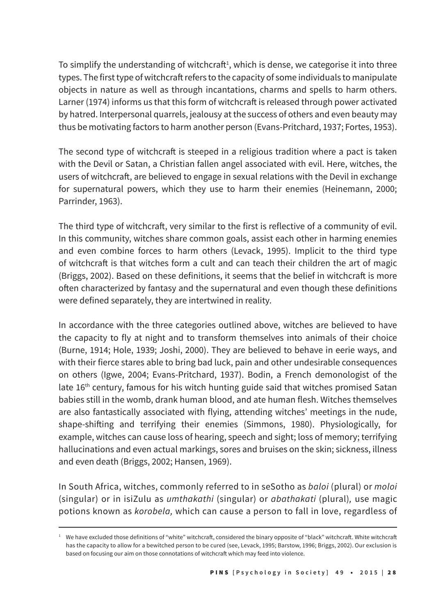To simplify the understanding of witchcraft $^1$ , which is dense, we categorise it into three types. The first type of witchcraft refers to the capacity of some individuals to manipulate objects in nature as well as through incantations, charms and spells to harm others. Larner (1974) informs us that this form of witchcraft is released through power activated by hatred. Interpersonal quarrels, jealousy at the success of others and even beauty may thus be motivating factors to harm another person (Evans-Pritchard, 1937; Fortes, 1953).

The second type of witchcraft is steeped in a religious tradition where a pact is taken with the Devil or Satan, a Christian fallen angel associated with evil. Here, witches, the users of witchcraft, are believed to engage in sexual relations with the Devil in exchange for supernatural powers, which they use to harm their enemies (Heinemann, 2000; Parrinder, 1963).

The third type of witchcraft, very similar to the first is reflective of a community of evil. In this community, witches share common goals, assist each other in harming enemies and even combine forces to harm others (Levack, 1995). Implicit to the third type of witchcraft is that witches form a cult and can teach their children the art of magic (Briggs, 2002). Based on these definitions, it seems that the belief in witchcraft is more often characterized by fantasy and the supernatural and even though these definitions were defined separately, they are intertwined in reality.

In accordance with the three categories outlined above, witches are believed to have the capacity to fly at night and to transform themselves into animals of their choice (Burne, 1914; Hole, 1939; Joshi, 2000). They are believed to behave in eerie ways, and with their fierce stares able to bring bad luck, pain and other undesirable consequences on others (Igwe, 2004; Evans-Pritchard, 1937). Bodin, a French demonologist of the late 16<sup>th</sup> century, famous for his witch hunting guide said that witches promised Satan babies still in the womb, drank human blood, and ate human flesh. Witches themselves are also fantastically associated with flying, attending witches' meetings in the nude, shape-shifting and terrifying their enemies (Simmons, 1980). Physiologically, for example, witches can cause loss of hearing, speech and sight; loss of memory; terrifying hallucinations and even actual markings, sores and bruises on the skin; sickness, illness and even death (Briggs, 2002; Hansen, 1969).

In South Africa, witches, commonly referred to in seSotho as *baloi* (plural) or *moloi*  (singular) or in isiZulu as *umthakathi* (singular) or *abathakati* (plural)*,* use magic potions known as *korobela,* which can cause a person to fall in love, regardless of

<sup>1</sup> We have excluded those definitions of "white" witchcraft, considered the binary opposite of "black" witchcraft. White witchcraft has the capacity to allow for a bewitched person to be cured (see, Levack, 1995; Barstow, 1996; Briggs, 2002). Our exclusion is based on focusing our aim on those connotations of witchcraft which may feed into violence.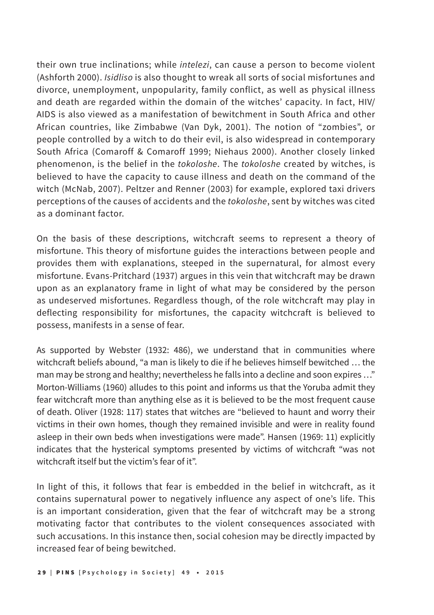their own true inclinations; while *intelezi*, can cause a person to become violent (Ashforth 2000). *Isidliso* is also thought to wreak all sorts of social misfortunes and divorce, unemployment, unpopularity, family conflict, as well as physical illness and death are regarded within the domain of the witches' capacity. In fact, HIV/ AIDS is also viewed as a manifestation of bewitchment in South Africa and other African countries, like Zimbabwe (Van Dyk, 2001). The notion of "zombies", or people controlled by a witch to do their evil, is also widespread in contemporary South Africa (Comaroff & Comaroff 1999; Niehaus 2000). Another closely linked phenomenon, is the belief in the *tokoloshe*. The *tokoloshe* created by witches, is believed to have the capacity to cause illness and death on the command of the witch (McNab, 2007). Peltzer and Renner (2003) for example, explored taxi drivers perceptions of the causes of accidents and the *tokoloshe*, sent by witches was cited as a dominant factor.

On the basis of these descriptions, witchcraft seems to represent a theory of misfortune. This theory of misfortune guides the interactions between people and provides them with explanations, steeped in the supernatural, for almost every misfortune. Evans-Pritchard (1937) argues in this vein that witchcraft may be drawn upon as an explanatory frame in light of what may be considered by the person as undeserved misfortunes. Regardless though, of the role witchcraft may play in deflecting responsibility for misfortunes, the capacity witchcraft is believed to possess, manifests in a sense of fear.

As supported by Webster (1932: 486), we understand that in communities where witchcraft beliefs abound, "a man is likely to die if he believes himself bewitched … the man may be strong and healthy; nevertheless he falls into a decline and soon expires …" Morton-Williams (1960) alludes to this point and informs us that the Yoruba admit they fear witchcraft more than anything else as it is believed to be the most frequent cause of death. Oliver (1928: 117) states that witches are "believed to haunt and worry their victims in their own homes, though they remained invisible and were in reality found asleep in their own beds when investigations were made". Hansen (1969: 11) explicitly indicates that the hysterical symptoms presented by victims of witchcraft "was not witchcraft itself but the victim's fear of it".

In light of this, it follows that fear is embedded in the belief in witchcraft, as it contains supernatural power to negatively influence any aspect of one's life. This is an important consideration, given that the fear of witchcraft may be a strong motivating factor that contributes to the violent consequences associated with such accusations. In this instance then, social cohesion may be directly impacted by increased fear of being bewitched.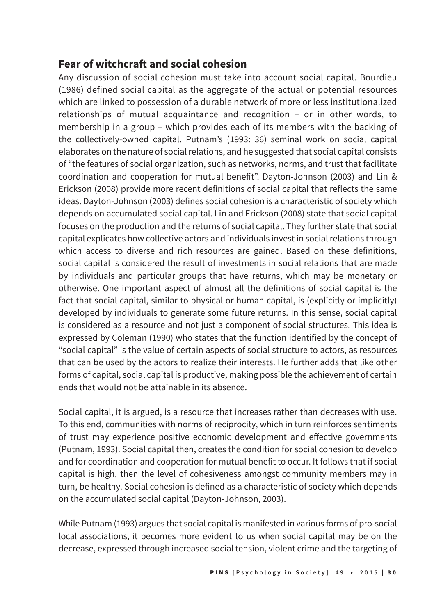# **Fear of witchcraft and social cohesion**

Any discussion of social cohesion must take into account social capital. Bourdieu (1986) defined social capital as the aggregate of the actual or potential resources which are linked to possession of a durable network of more or less institutionalized relationships of mutual acquaintance and recognition – or in other words, to membership in a group – which provides each of its members with the backing of the collectively-owned capital. Putnam's (1993: 36) seminal work on social capital elaborates on the nature of social relations, and he suggested that social capital consists of "the features of social organization, such as networks, norms, and trust that facilitate coordination and cooperation for mutual benefit". Dayton-Johnson (2003) and Lin & Erickson (2008) provide more recent definitions of social capital that reflects the same ideas. Dayton-Johnson (2003) defines social cohesion is a characteristic of society which depends on accumulated social capital. Lin and Erickson (2008) state that social capital focuses on the production and the returns of social capital. They further state that social capital explicates how collective actors and individuals invest in social relations through which access to diverse and rich resources are gained. Based on these definitions, social capital is considered the result of investments in social relations that are made by individuals and particular groups that have returns, which may be monetary or otherwise. One important aspect of almost all the definitions of social capital is the fact that social capital, similar to physical or human capital, is (explicitly or implicitly) developed by individuals to generate some future returns. In this sense, social capital is considered as a resource and not just a component of social structures. This idea is expressed by Coleman (1990) who states that the function identified by the concept of "social capital" is the value of certain aspects of social structure to actors, as resources that can be used by the actors to realize their interests. He further adds that like other forms of capital, social capital is productive, making possible the achievement of certain ends that would not be attainable in its absence.

Social capital, it is argued, is a resource that increases rather than decreases with use. To this end, communities with norms of reciprocity, which in turn reinforces sentiments of trust may experience positive economic development and effective governments (Putnam, 1993). Social capital then, creates the condition for social cohesion to develop and for coordination and cooperation for mutual benefit to occur. It follows that if social capital is high, then the level of cohesiveness amongst community members may in turn, be healthy. Social cohesion is defined as a characteristic of society which depends on the accumulated social capital (Dayton-Johnson, 2003).

While Putnam (1993) argues that social capital is manifested in various forms of pro-social local associations, it becomes more evident to us when social capital may be on the decrease, expressed through increased social tension, violent crime and the targeting of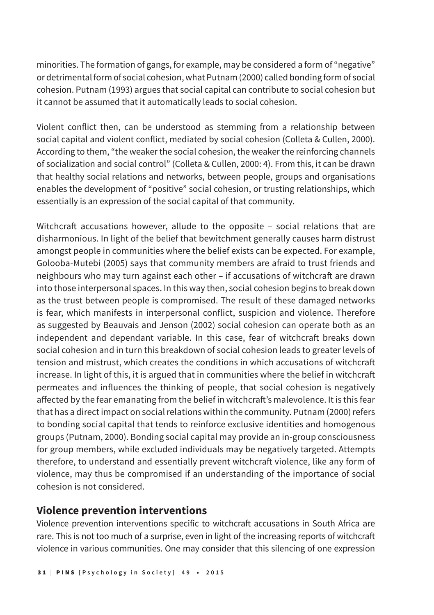minorities. The formation of gangs, for example, may be considered a form of "negative" or detrimental form of social cohesion, what Putnam (2000) called bonding form of social cohesion. Putnam (1993) argues that social capital can contribute to social cohesion but it cannot be assumed that it automatically leads to social cohesion.

Violent conflict then, can be understood as stemming from a relationship between social capital and violent conflict, mediated by social cohesion (Colleta & Cullen, 2000). According to them, "the weaker the social cohesion, the weaker the reinforcing channels of socialization and social control" (Colleta & Cullen, 2000: 4). From this, it can be drawn that healthy social relations and networks, between people, groups and organisations enables the development of "positive" social cohesion, or trusting relationships, which essentially is an expression of the social capital of that community.

Witchcraft accusations however, allude to the opposite – social relations that are disharmonious. In light of the belief that bewitchment generally causes harm distrust amongst people in communities where the belief exists can be expected. For example, Golooba-Mutebi (2005) says that community members are afraid to trust friends and neighbours who may turn against each other – if accusations of witchcraft are drawn into those interpersonal spaces. In this way then, social cohesion begins to break down as the trust between people is compromised. The result of these damaged networks is fear, which manifests in interpersonal conflict, suspicion and violence. Therefore as suggested by Beauvais and Jenson (2002) social cohesion can operate both as an independent and dependant variable. In this case, fear of witchcraft breaks down social cohesion and in turn this breakdown of social cohesion leads to greater levels of tension and mistrust, which creates the conditions in which accusations of witchcraft increase. In light of this, it is argued that in communities where the belief in witchcraft permeates and influences the thinking of people, that social cohesion is negatively affected by the fear emanating from the belief in witchcraft's malevolence. It is this fear that has a direct impact on social relations within the community. Putnam (2000) refers to bonding social capital that tends to reinforce exclusive identities and homogenous groups (Putnam, 2000). Bonding social capital may provide an in-group consciousness for group members, while excluded individuals may be negatively targeted. Attempts therefore, to understand and essentially prevent witchcraft violence, like any form of violence, may thus be compromised if an understanding of the importance of social cohesion is not considered.

## **Violence prevention interventions**

Violence prevention interventions specific to witchcraft accusations in South Africa are rare. This is not too much of a surprise, even in light of the increasing reports of witchcraft violence in various communities. One may consider that this silencing of one expression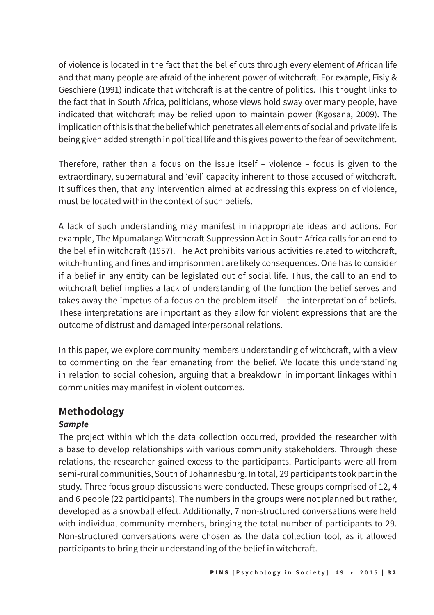of violence is located in the fact that the belief cuts through every element of African life and that many people are afraid of the inherent power of witchcraft. For example, Fisiy & Geschiere (1991) indicate that witchcraft is at the centre of politics. This thought links to the fact that in South Africa, politicians, whose views hold sway over many people, have indicated that witchcraft may be relied upon to maintain power (Kgosana, 2009). The implication of this is that the belief which penetrates all elements of social and private life is being given added strength in political life and this gives power to the fear of bewitchment.

Therefore, rather than a focus on the issue itself – violence – focus is given to the extraordinary, supernatural and 'evil' capacity inherent to those accused of witchcraft. It suffices then, that any intervention aimed at addressing this expression of violence, must be located within the context of such beliefs.

A lack of such understanding may manifest in inappropriate ideas and actions. For example, The Mpumalanga Witchcraft Suppression Act in South Africa calls for an end to the belief in witchcraft (1957). The Act prohibits various activities related to witchcraft, witch-hunting and fines and imprisonment are likely consequences. One has to consider if a belief in any entity can be legislated out of social life. Thus, the call to an end to witchcraft belief implies a lack of understanding of the function the belief serves and takes away the impetus of a focus on the problem itself – the interpretation of beliefs. These interpretations are important as they allow for violent expressions that are the outcome of distrust and damaged interpersonal relations.

In this paper, we explore community members understanding of witchcraft, with a view to commenting on the fear emanating from the belief. We locate this understanding in relation to social cohesion, arguing that a breakdown in important linkages within communities may manifest in violent outcomes.

# **Methodology**

#### *Sample*

The project within which the data collection occurred, provided the researcher with a base to develop relationships with various community stakeholders. Through these relations, the researcher gained excess to the participants. Participants were all from semi-rural communities, South of Johannesburg. In total, 29 participants took part in the study. Three focus group discussions were conducted. These groups comprised of 12, 4 and 6 people (22 participants). The numbers in the groups were not planned but rather, developed as a snowball effect. Additionally, 7 non-structured conversations were held with individual community members, bringing the total number of participants to 29. Non-structured conversations were chosen as the data collection tool, as it allowed participants to bring their understanding of the belief in witchcraft.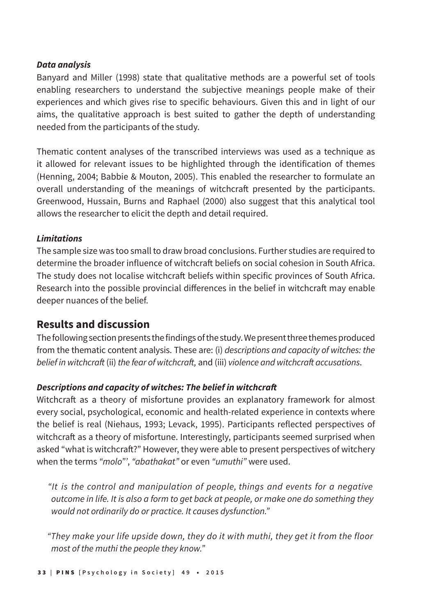#### *Data analysis*

Banyard and Miller (1998) state that qualitative methods are a powerful set of tools enabling researchers to understand the subjective meanings people make of their experiences and which gives rise to specific behaviours. Given this and in light of our aims, the qualitative approach is best suited to gather the depth of understanding needed from the participants of the study.

Thematic content analyses of the transcribed interviews was used as a technique as it allowed for relevant issues to be highlighted through the identification of themes (Henning, 2004; Babbie & Mouton, 2005). This enabled the researcher to formulate an overall understanding of the meanings of witchcraft presented by the participants. Greenwood, Hussain, Burns and Raphael (2000) also suggest that this analytical tool allows the researcher to elicit the depth and detail required.

#### *Limitations*

The sample size was too small to draw broad conclusions. Further studies are required to determine the broader influence of witchcraft beliefs on social cohesion in South Africa. The study does not localise witchcraft beliefs within specific provinces of South Africa. Research into the possible provincial differences in the belief in witchcraft may enable deeper nuances of the belief.

## **Results and discussion**

The following section presents the findings of the study. We present three themes produced from the thematic content analysis. These are: (i) *descriptions and capacity of witches: the*  belief in witchcraft (ii) the fear of witchcraft, and (iii) violence and witchcraft accusations.

#### **Descriptions and capacity of witches: The belief in witchcraft**

Witchcraft as a theory of misfortune provides an explanatory framework for almost every social, psychological, economic and health-related experience in contexts where the belief is real (Niehaus, 1993; Levack, 1995). Participants reflected perspectives of witchcraft as a theory of misfortune. Interestingly, participants seemed surprised when asked "what is witchcraft?" However, they were able to present perspectives of witchery when the terms *"molo"'*, *"abathakat"* or even *"umuthi"* were used.

*"It is the control and manipulation of people, things and events for a negative outcome in life. It is also a form to get back at people, or make one do something they would not ordinarily do or practice. It causes dysfunction."*

*"They make your life upside down, they do it with muthi, they get it from the floor most of the muthi the people they know."*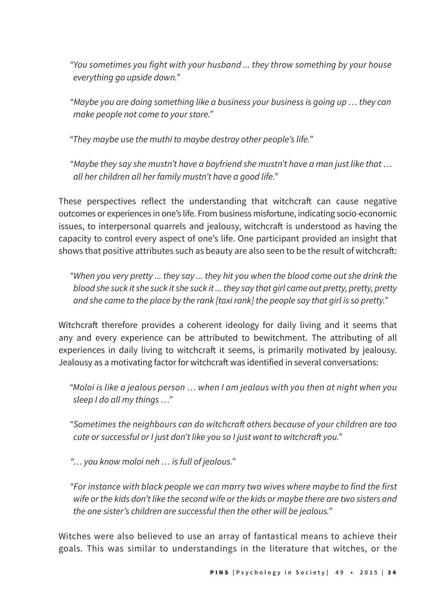*"You sometimes you fight with your husband ... they throw something by your house everything go upside down."*

*"Maybe you are doing something like a business your business is going up … they can make people not come to your store."*

*"They maybe use the muthi to maybe destroy other people's life."*

*"Maybe they say she mustn't have a boyfriend she mustn't have a man just like that … all her children all her family mustn't have a good life."*

These perspectives reflect the understanding that witchcraft can cause negative outcomes or experiences in one's life. From business misfortune, indicating socio-economic issues, to interpersonal quarrels and jealousy, witchcraft is understood as having the capacity to control every aspect of one's life. One participant provided an insight that shows that positive attributes such as beauty are also seen to be the result of witchcraft:

*"When you very pretty ... they say ... they hit you when the blood come out she drink the blood she suck it she suck it she suck it ... they say that girl came out pretty, pretty, pretty and she came to the place by the rank [taxi rank] the people say that girl is so pretty."*

Witchcraft therefore provides a coherent ideology for daily living and it seems that any and every experience can be attributed to bewitchment. The attributing of all experiences in daily living to witchcraft it seems, is primarily motivated by jealousy. Jealousy as a motivating factor for witchcraft was identified in several conversations:

*"Moloi is like a jealous person … when I am jealous with you then at night when you sleep I do all my things …"*

"Sometimes the neighbours can do witchcraft others because of your children are too cute or successful or I just don't like you so I just want to witchcraft you."

*"… you know moloi neh … is full of jealous."*

*"For instance with black people we can marry two wives where maybe to find the first wife or the kids don't like the second wife or the kids or maybe there are two sisters and the one sister's children are successful then the other will be jealous."*

Witches were also believed to use an array of fantastical means to achieve their goals. This was similar to understandings in the literature that witches, or the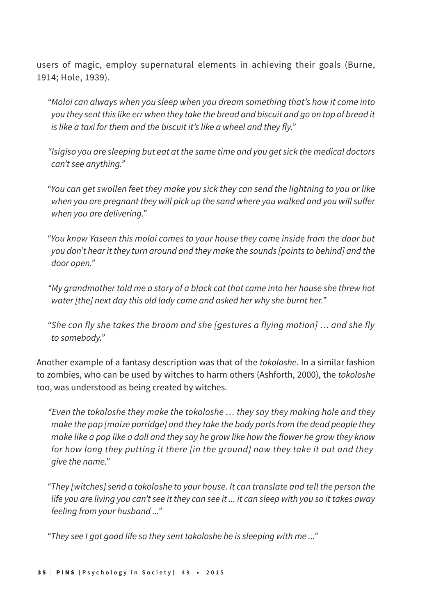users of magic, employ supernatural elements in achieving their goals (Burne, 1914; Hole, 1939).

*"Moloi can always when you sleep when you dream something that's how it come into you they sent this like err when they take the bread and biscuit and go on top of bread it is like a taxi for them and the biscuit it's like a wheel and they fly."*

*"Isigiso you are sleeping but eat at the same time and you get sick the medical doctors can't see anything."*

*"You can get swollen feet they make you sick they can send the lightning to you or like*  when you are pregnant they will pick up the sand where you walked and you will suffer *when you are delivering."*

*"You know Yaseen this moloi comes to your house they come inside from the door but you don't hear it they turn around and they make the sounds [points to behind] and the door open."*

*"My grandmother told me a story of a black cat that came into her house she threw hot water [the] next day this old lady came and asked her why she burnt her."*

*"She can fly she takes the broom and she [gestures a flying motion] … and she fly to somebody."*

Another example of a fantasy description was that of the *tokoloshe*. In a similar fashion to zombies, who can be used by witches to harm others (Ashforth, 2000), the *tokoloshe* too, was understood as being created by witches.

*"Even the tokoloshe they make the tokoloshe … they say they making hole and they make the pap [maize porridge] and they take the body parts from the dead people they make like a pop like a doll and they say he grow like how the flower he grow they know for how long they putting it there [in the ground] now they take it out and they give the name."*

*"They [witches] send a tokoloshe to your house. It can translate and tell the person the life you are living you can't see it they can see it ... it can sleep with you so it takes away feeling from your husband ..."* 

*"They see I got good life so they sent tokoloshe he is sleeping with me ..."*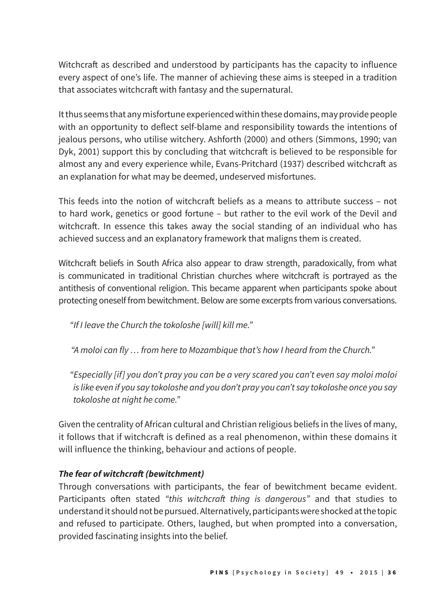Witchcraft as described and understood by participants has the capacity to influence every aspect of one's life. The manner of achieving these aims is steeped in a tradition that associates witchcraft with fantasy and the supernatural.

It thus seems that any misfortune experienced within these domains, may provide people with an opportunity to deflect self-blame and responsibility towards the intentions of jealous persons, who utilise witchery. Ashforth (2000) and others (Simmons, 1990; van Dyk, 2001) support this by concluding that witchcraft is believed to be responsible for almost any and every experience while, Evans-Pritchard (1937) described witchcraft as an explanation for what may be deemed, undeserved misfortunes.

This feeds into the notion of witchcraft beliefs as a means to attribute success – not to hard work, genetics or good fortune – but rather to the evil work of the Devil and witchcraft. In essence this takes away the social standing of an individual who has achieved success and an explanatory framework that maligns them is created.

Witchcraft beliefs in South Africa also appear to draw strength, paradoxically, from what is communicated in traditional Christian churches where witchcraft is portrayed as the antithesis of conventional religion. This became apparent when participants spoke about protecting oneself from bewitchment. Below are some excerpts from various conversations.

*"If I leave the Church the tokoloshe [will] kill me."*

*"A moloi can fly … from here to Mozambique that's how I heard from the Church."*

*"Especially [if] you don't pray you can be a very scared you can't even say moloi moloi is like even if you say tokoloshe and you don't pray you can't say tokoloshe once you say tokoloshe at night he come."*

Given the centrality of African cultural and Christian religious beliefs in the lives of many, it follows that if witchcraft is defined as a real phenomenon, within these domains it will influence the thinking, behaviour and actions of people.

#### **The fear of witchcraft (bewitchment)**

Through conversations with participants, the fear of bewitchment became evident. Participants often stated "this witchcraft thing is dangerous" and that studies to understand it should not be pursued. Alternatively, participants were shocked at the topic and refused to participate. Others, laughed, but when prompted into a conversation, provided fascinating insights into the belief.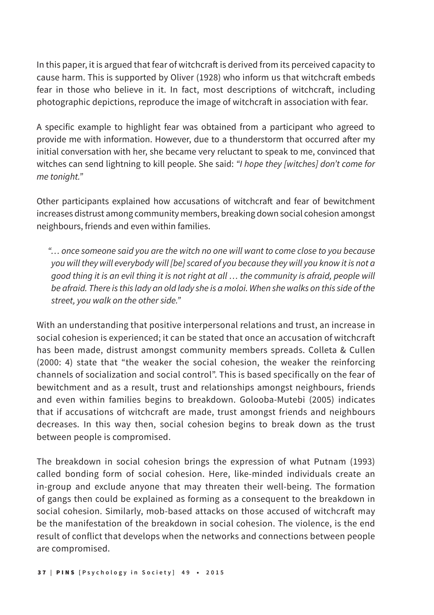In this paper, it is argued that fear of witchcraft is derived from its perceived capacity to cause harm. This is supported by Oliver (1928) who inform us that witchcraft embeds fear in those who believe in it. In fact, most descriptions of witchcraft, including photographic depictions, reproduce the image of witchcraft in association with fear.

A specific example to highlight fear was obtained from a participant who agreed to provide me with information. However, due to a thunderstorm that occurred after my initial conversation with her, she became very reluctant to speak to me, convinced that witches can send lightning to kill people. She said: *"I hope they [witches] don't come for me tonight."*

Other participants explained how accusations of witchcraft and fear of bewitchment increases distrust among community members, breaking down social cohesion amongst neighbours, friends and even within families.

*"… once someone said you are the witch no one will want to come close to you because you will they will everybody will [be] scared of you because they will you know it is not a good thing it is an evil thing it is not right at all … the community is afraid, people will be afraid. There is this lady an old lady she is a moloi. When she walks on this side of the street, you walk on the other side."*

With an understanding that positive interpersonal relations and trust, an increase in social cohesion is experienced; it can be stated that once an accusation of witchcraft has been made, distrust amongst community members spreads. Colleta & Cullen (2000: 4) state that "the weaker the social cohesion, the weaker the reinforcing channels of socialization and social control". This is based specifically on the fear of bewitchment and as a result, trust and relationships amongst neighbours, friends and even within families begins to breakdown. Golooba-Mutebi (2005) indicates that if accusations of witchcraft are made, trust amongst friends and neighbours decreases. In this way then, social cohesion begins to break down as the trust between people is compromised.

The breakdown in social cohesion brings the expression of what Putnam (1993) called bonding form of social cohesion. Here, like-minded individuals create an in-group and exclude anyone that may threaten their well-being. The formation of gangs then could be explained as forming as a consequent to the breakdown in social cohesion. Similarly, mob-based attacks on those accused of witchcraft may be the manifestation of the breakdown in social cohesion. The violence, is the end result of conflict that develops when the networks and connections between people are compromised.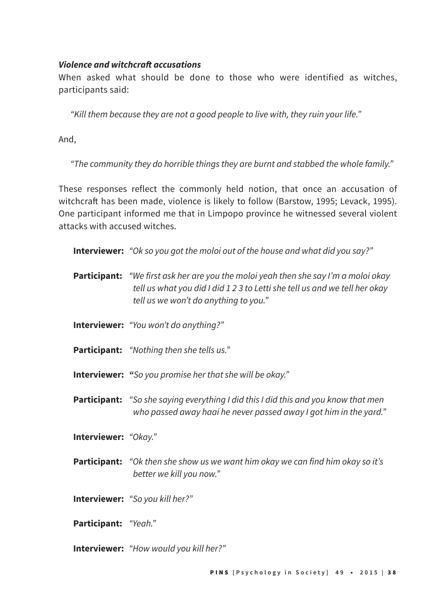#### **Violence and witchcraft accusations**

When asked what should be done to those who were identified as witches, participants said:

*"Kill them because they are not a good people to live with, they ruin your life."*

And,

*"The community they do horrible things they are burnt and stabbed the whole family."* 

These responses reflect the commonly held notion, that once an accusation of witchcraft has been made, violence is likely to follow (Barstow, 1995; Levack, 1995). One participant informed me that in Limpopo province he witnessed several violent attacks with accused witches.

**Interviewer:** *"Ok so you got the moloi out of the house and what did you say?"*

- **Participant:** *"We first ask her are you the moloi yeah then she say I'm a moloi okay tell us what you did I did 1 2 3 to Letti she tell us and we tell her okay tell us we won't do anything to you."*
- **Interviewer:** *"You won't do anything?"*
- **Participant:** *"Nothing then she tells us."*
- **Interviewer:** *"So you promise her that she will be okay."*
- **Participant:** *"So she saying everything I did this I did this and you know that men who passed away haai he never passed away I got him in the yard."*
- **Interviewer:** *"Okay."*
- **Participant:** *"Ok then she show us we want him okay we can find him okay so it's better we kill you now."*
- **Interviewer:** *"So you kill her?"*
- **Participant:** *"Yeah."*
- **Interviewer:** *"How would you kill her?"*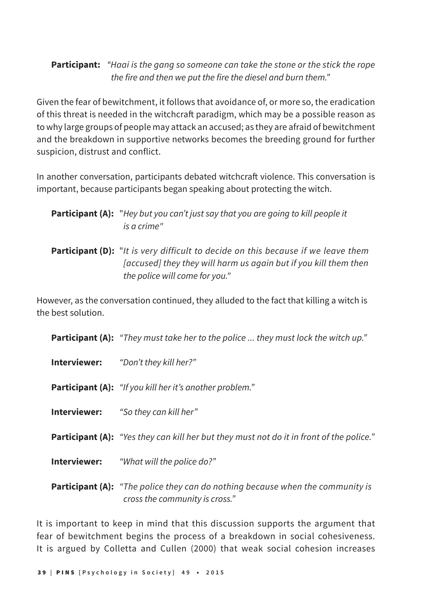## **Participant:** *"Haai is the gang so someone can take the stone or the stick the rope the fire and then we put the fire the diesel and burn them."*

Given the fear of bewitchment, it follows that avoidance of, or more so, the eradication of this threat is needed in the witchcraft paradigm, which may be a possible reason as to why large groups of people may attack an accused; as they are afraid of bewitchment and the breakdown in supportive networks becomes the breeding ground for further suspicion, distrust and conflict.

In another conversation, participants debated witchcraft violence. This conversation is important, because participants began speaking about protecting the witch.

| <b>Participant (A):</b> "Hey but you can't just say that you are going to kill people it |
|------------------------------------------------------------------------------------------|
| is a crime"                                                                              |

**Participant (D):** "*It is very difficult to decide on this because if we leave them [accused] they they will harm us again but if you kill them then the police will come for you."*

However, as the conversation continued, they alluded to the fact that killing a witch is the best solution.

**Participant (A):** *"They must take her to the police ... they must lock the witch up."*

**Interviewer:** *"Don't they kill her?"*

**Participant (A):** *"If you kill her it's another problem."*

**Interviewer:** *"So they can kill her"*

**Participant (A):** *"Yes they can kill her but they must not do it in front of the police."*

**Interviewer:** *"What will the police do?"*

**Participant (A):** *"The police they can do nothing because when the community is cross the community is cross."*

It is important to keep in mind that this discussion supports the argument that fear of bewitchment begins the process of a breakdown in social cohesiveness. It is argued by Colletta and Cullen (2000) that weak social cohesion increases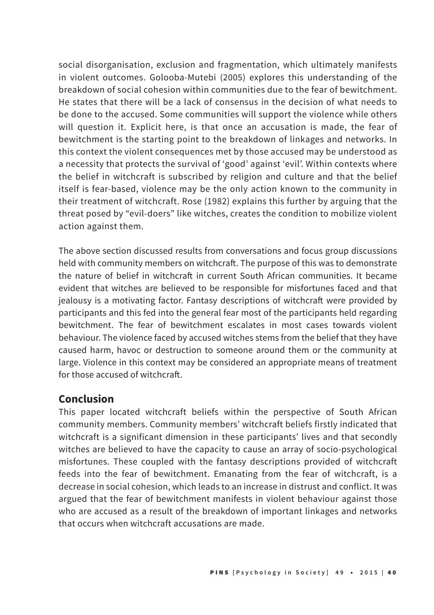social disorganisation, exclusion and fragmentation, which ultimately manifests in violent outcomes. Golooba-Mutebi (2005) explores this understanding of the breakdown of social cohesion within communities due to the fear of bewitchment. He states that there will be a lack of consensus in the decision of what needs to be done to the accused. Some communities will support the violence while others will question it. Explicit here, is that once an accusation is made, the fear of bewitchment is the starting point to the breakdown of linkages and networks. In this context the violent consequences met by those accused may be understood as a necessity that protects the survival of 'good' against 'evil'. Within contexts where the belief in witchcraft is subscribed by religion and culture and that the belief itself is fear-based, violence may be the only action known to the community in their treatment of witchcraft. Rose (1982) explains this further by arguing that the threat posed by "evil-doers" like witches, creates the condition to mobilize violent action against them.

The above section discussed results from conversations and focus group discussions held with community members on witchcraft. The purpose of this was to demonstrate the nature of belief in witchcraft in current South African communities. It became evident that witches are believed to be responsible for misfortunes faced and that jealousy is a motivating factor. Fantasy descriptions of witchcraft were provided by participants and this fed into the general fear most of the participants held regarding bewitchment. The fear of bewitchment escalates in most cases towards violent behaviour. The violence faced by accused witches stems from the belief that they have caused harm, havoc or destruction to someone around them or the community at large. Violence in this context may be considered an appropriate means of treatment for those accused of witchcraft.

## **Conclusion**

This paper located witchcraft beliefs within the perspective of South African community members. Community members' witchcraft beliefs firstly indicated that witchcraft is a significant dimension in these participants' lives and that secondly witches are believed to have the capacity to cause an array of socio-psychological misfortunes. These coupled with the fantasy descriptions provided of witchcraft feeds into the fear of bewitchment. Emanating from the fear of witchcraft, is a decrease in social cohesion, which leads to an increase in distrust and conflict. It was argued that the fear of bewitchment manifests in violent behaviour against those who are accused as a result of the breakdown of important linkages and networks that occurs when witchcraft accusations are made.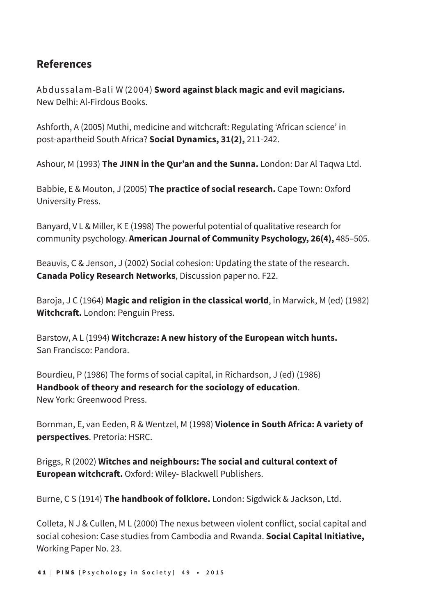# **References**

Abdussalam-Bali W (2004) **Sword against black magic and evil magicians.** New Delhi: Al-Firdous Books.

Ashforth, A (2005) Muthi, medicine and witchcraft: Regulating 'African science' in post-apartheid South Africa? **Social Dynamics, 31(2),** 211-242.

Ashour, M (1993) **The JINN in the Qur'an and the Sunna.** London: Dar Al Taqwa Ltd.

Babbie, E & Mouton, J (2005) **The practice of social research.** Cape Town: Oxford University Press.

Banyard, V L & Miller, K E (1998) The powerful potential of qualitative research for community psychology. **American Journal of Community Psychology, 26(4),** 485–505.

Beauvis, C & Jenson, J (2002) Social cohesion: Updating the state of the research. **Canada Policy Research Networks**, Discussion paper no. F22.

Baroja, J C (1964) **Magic and religion in the classical world**, in Marwick, M (ed) (1982) **Witchcraft.** London: Penguin Press.

Barstow, A L (1994) **Witchcraze: A new history of the European witch hunts.**  San Francisco: Pandora.

Bourdieu, P (1986) The forms of social capital, in Richardson, J (ed) (1986) **Handbook of theory and research for the sociology of education**. New York: Greenwood Press.

Bornman, E, van Eeden, R & Wentzel, M (1998) **Violence in South Africa: A variety of perspectives**. Pretoria: HSRC.

Briggs, R (2002) **Witches and neighbours: The social and cultural context of European witchcraft.** Oxford: Wiley- Blackwell Publishers.

Burne, C S (1914) **The handbook of folklore.** London: Sigdwick & Jackson, Ltd.

Colleta, N J & Cullen, M L (2000) The nexus between violent conflict, social capital and social cohesion: Case studies from Cambodia and Rwanda. **Social Capital Initiative,**  Working Paper No. 23.

4 1 **|** PINS **[Psychology in Society] 49** • **2015**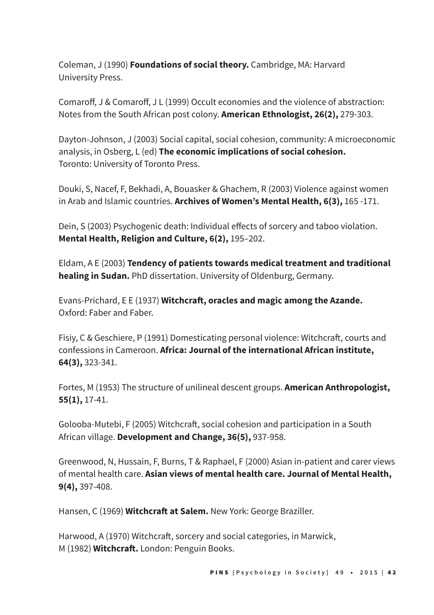Coleman, J (1990) **Foundations of social theory.** Cambridge, MA: Harvard University Press.

Comaroff, J & Comaroff, J L (1999) Occult economies and the violence of abstraction: Notes from the South African post colony. **American Ethnologist, 26(2),** 279-303.

Dayton-Johnson, J (2003) Social capital, social cohesion, community: A microeconomic analysis, in Osberg, L (ed) **The economic implications of social cohesion.**  Toronto: University of Toronto Press.

Douki, S, Nacef, F, Bekhadi, A, Bouasker & Ghachem, R (2003) Violence against women in Arab and Islamic countries. **Archives of Women's Mental Health, 6(3),** 165 -171.

Dein, S (2003) Psychogenic death: Individual effects of sorcery and taboo violation. **Mental Health, Religion and Culture, 6(2),** 195–202.

Eldam, A E (2003) **Tendency of patients towards medical treatment and traditional healing in Sudan.** PhD dissertation. University of Oldenburg, Germany.

Evans-Prichard, E E (1937) **Witchcraft, oracles and magic among the Azande.** Oxford: Faber and Faber.

Fisiy, C & Geschiere, P (1991) Domesticating personal violence: Witchcraft, courts and confessions in Cameroon. **Africa: Journal of the international African institute, 64(3),** 323-341.

Fortes, M (1953) The structure of unilineal descent groups. **American Anthropologist, 55(1),** 17-41.

Golooba-Mutebi, F (2005) Witchcraft, social cohesion and participation in a South African village. **Development and Change, 36(5),** 937-958.

Greenwood, N, Hussain, F, Burns, T & Raphael, F (2000) Asian in-patient and carer views of mental health care. **Asian views of mental health care. Journal of Mental Health, 9(4),** 397-408.

Hansen, C (1969) **Witchcraft at Salem.** New York: George Braziller.

Harwood, A (1970) Witchcraft, sorcery and social categories, in Marwick, M (1982) **Witchcraft.** London: Penguin Books.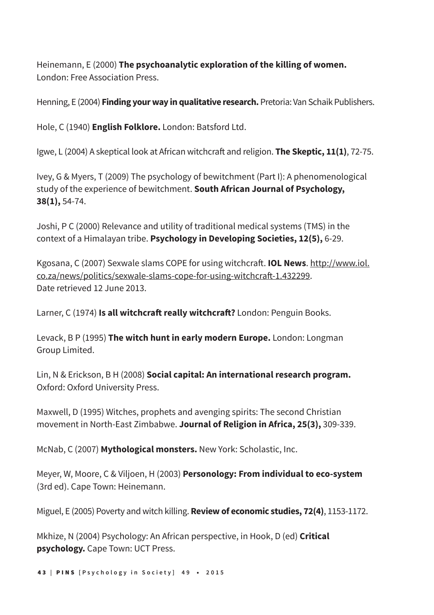Heinemann, E (2000) **The psychoanalytic exploration of the killing of women.** London: Free Association Press.

Henning, E (2004) **Finding your way in qualitative research.** Pretoria: Van Schaik Publishers.

Hole, C (1940) **English Folklore.** London: Batsford Ltd.

Igwe, L (2004) A skeptical look at African witchcraft and religion. **The Skeptic, 11(1)**, 72-75.

Ivey, G & Myers, T (2009) The psychology of bewitchment (Part I): A phenomenological study of the experience of bewitchment. **South African Journal of Psychology, 38(1),** 54-74.

Joshi, P C (2000) Relevance and utility of traditional medical systems (TMS) in the context of a Himalayan tribe. **Psychology in Developing Societies, 12(5),** 6-29.

Kgosana, C (2007) Sexwale slams COPE for using witchcraft. **IOL News**. http://www.iol. co.za/news/politics/sexwale-slams-cope-for-using-witchcraft-1.432299. Date retrieved 12 June 2013.

Larner, C (1974) **Is all witchcraft really witchcraft?** London: Penguin Books.

Levack, B P (1995) **The witch hunt in early modern Europe.** London: Longman Group Limited.

Lin, N & Erickson, B H (2008) **Social capital: An international research program.** Oxford: Oxford University Press.

Maxwell, D (1995) Witches, prophets and avenging spirits: The second Christian movement in North-East Zimbabwe. **Journal of Religion in Africa, 25(3),** 309-339.

McNab, C (2007) **Mythological monsters.** New York: Scholastic, Inc.

Meyer, W, Moore, C & Viljoen, H (2003) **Personology: From individual to eco-system**  (3rd ed). Cape Town: Heinemann.

Miguel, E (2005) Poverty and witch killing. **Review of economic studies, 72(4)**, 1153-1172.

Mkhize, N (2004) Psychology: An African perspective, in Hook, D (ed) **Critical psychology.** Cape Town: UCT Press.

4 3 **|** PINS **[Psychology in Society] 49** • **2015**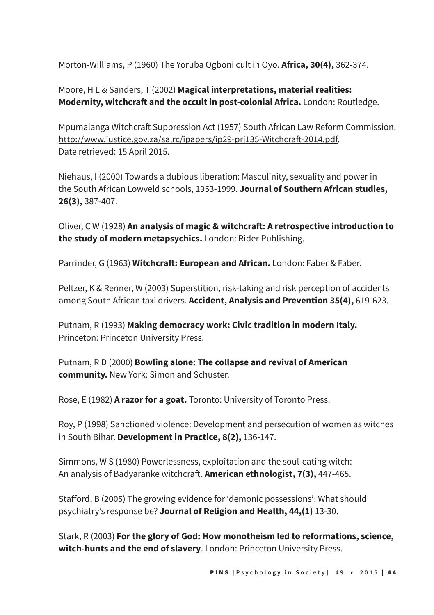Morton-Williams, P (1960) The Yoruba Ogboni cult in Oyo. **Africa, 30(4),** 362-374.

Moore, H L & Sanders, T (2002) **Magical interpretations, material realities: Modernity, witchcraft and the occult in post-colonial Africa.** London: Routledge.

Mpumalanga Witchcraft Suppression Act (1957) South African Law Reform Commission. http://www.justice.gov.za/salrc/ipapers/ip29-prj135-Witchcraft-2014.pdf. Date retrieved: 15 April 2015.

Niehaus, I (2000) Towards a dubious liberation: Masculinity, sexuality and power in the South African Lowveld schools, 1953-1999. **Journal of Southern African studies, 26(3),** 387-407.

Oliver, C W (1928) **An analysis of magic & witchcraft: A retrospective introduction to the study of modern metapsychics.** London: Rider Publishing.

Parrinder, G (1963) Witchcraft: European and African. London: Faber & Faber.

Peltzer, K & Renner, W (2003) Superstition, risk-taking and risk perception of accidents among South African taxi drivers. **Accident, Analysis and Prevention 35(4),** 619-623.

Putnam, R (1993) **Making democracy work: Civic tradition in modern Italy.** Princeton: Princeton University Press.

Putnam, R D (2000) **Bowling alone: The collapse and revival of American community.** New York: Simon and Schuster.

Rose, E (1982) **A razor for a goat.** Toronto: University of Toronto Press.

Roy, P (1998) Sanctioned violence: Development and persecution of women as witches in South Bihar. **Development in Practice, 8(2),** 136-147.

Simmons, W S (1980) Powerlessness, exploitation and the soul-eating witch: An analysis of Badyaranke witchcraft. **American ethnologist, 7(3),** 447-465.

Stafford, B (2005) The growing evidence for 'demonic possessions': What should psychiatry's response be? **Journal of Religion and Health, 44,(1)** 13-30.

Stark, R (2003) **For the glory of God: How monotheism led to reformations, science, witch-hunts and the end of slavery**. London: Princeton University Press.